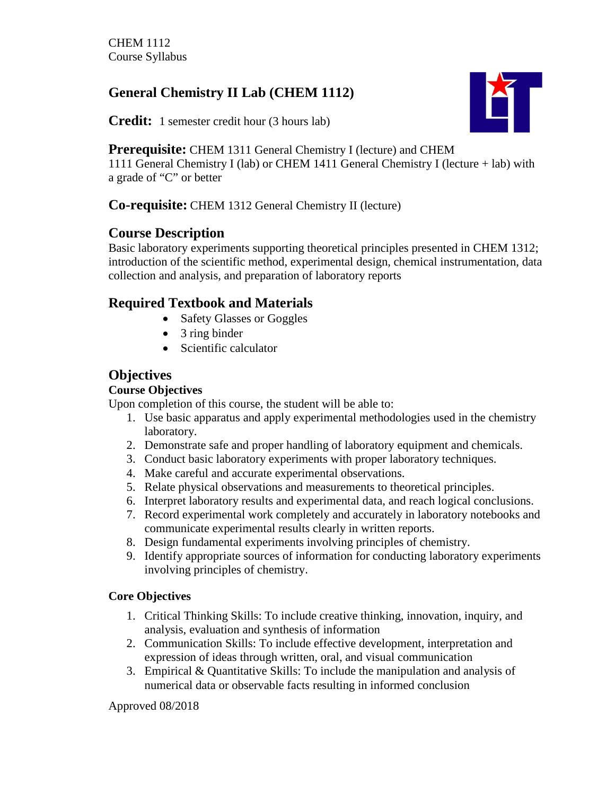# **General Chemistry II Lab (CHEM 1112)**

**Credit:** 1 semester credit hour (3 hours lab)



**Prerequisite:** CHEM 1311 General Chemistry I (lecture) and CHEM

1111 General Chemistry I (lab) or CHEM 1411 General Chemistry I (lecture + lab) with a grade of "C" or better

# **Co-requisite:** CHEM 1312 General Chemistry II (lecture)

# **Course Description**

Basic laboratory experiments supporting theoretical principles presented in CHEM 1312; introduction of the scientific method, experimental design, chemical instrumentation, data collection and analysis, and preparation of laboratory reports

# **Required Textbook and Materials**

- Safety Glasses or Goggles
- 3 ring binder
- Scientific calculator

# **Objectives**

### **Course Objectives**

Upon completion of this course, the student will be able to:

- 1. Use basic apparatus and apply experimental methodologies used in the chemistry laboratory.
- 2. Demonstrate safe and proper handling of laboratory equipment and chemicals.
- 3. Conduct basic laboratory experiments with proper laboratory techniques.
- 4. Make careful and accurate experimental observations.
- 5. Relate physical observations and measurements to theoretical principles.
- 6. Interpret laboratory results and experimental data, and reach logical conclusions.
- 7. Record experimental work completely and accurately in laboratory notebooks and communicate experimental results clearly in written reports.
- 8. Design fundamental experiments involving principles of chemistry.
- 9. Identify appropriate sources of information for conducting laboratory experiments involving principles of chemistry.

## **Core Objectives**

- 1. Critical Thinking Skills: To include creative thinking, innovation, inquiry, and analysis, evaluation and synthesis of information
- 2. Communication Skills: To include effective development, interpretation and expression of ideas through written, oral, and visual communication
- 3. Empirical & Quantitative Skills: To include the manipulation and analysis of numerical data or observable facts resulting in informed conclusion

Approved 08/2018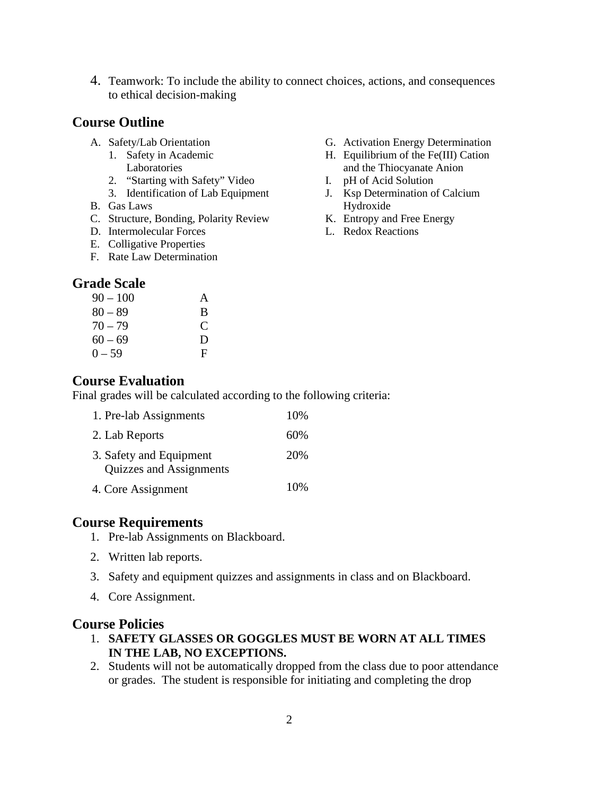4. Teamwork: To include the ability to connect choices, actions, and consequences to ethical decision-making

#### **Course Outline**

- A. Safety/Lab Orientation
	- 1. Safety in Academic Laboratories
	- 2. "Starting with Safety" Video
	- 3. Identification of Lab Equipment
- B. Gas Laws
- C. Structure, Bonding, Polarity Review
- D. Intermolecular Forces
- E. Colligative Properties
- F. Rate Law Determination

#### **Grade Scale**

| 90 – 100  | A           |
|-----------|-------------|
| $80 - 89$ | B           |
| $70 - 79$ | $\mathbf C$ |
| $60 - 69$ | D           |
| 0 – 59    | F           |

#### **Course Evaluation**

Final grades will be calculated according to the following criteria:

| 1. Pre-lab Assignments                             | 10%  |
|----------------------------------------------------|------|
| 2. Lab Reports                                     | 60%  |
| 3. Safety and Equipment<br>Quizzes and Assignments | 20%  |
| 4. Core Assignment                                 | 10\% |

#### **Course Requirements**

- 1. Pre-lab Assignments on Blackboard.
- 2. Written lab reports.
- 3. Safety and equipment quizzes and assignments in class and on Blackboard.
- 4. Core Assignment.

#### **Course Policies**

- 1. **SAFETY GLASSES OR GOGGLES MUST BE WORN AT ALL TIMES IN THE LAB, NO EXCEPTIONS.**
- 2. Students will not be automatically dropped from the class due to poor attendance or grades. The student is responsible for initiating and completing the drop

H. Equilibrium of the Fe(III) Cation and the Thiocyanate Anion

G. Activation Energy Determination

- I. pH of Acid Solution
- J. Ksp Determination of Calcium Hydroxide
- K. Entropy and Free Energy
- L. Redox Reactions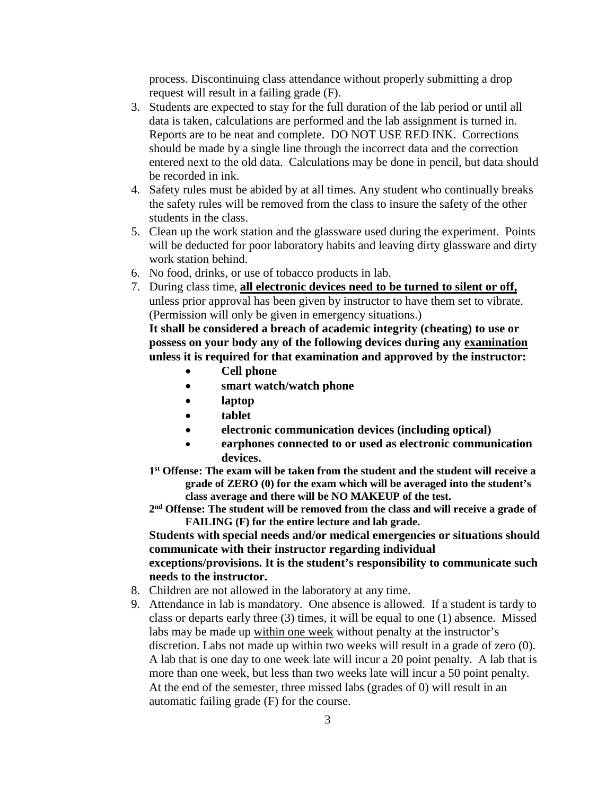process. Discontinuing class attendance without properly submitting a drop request will result in a failing grade (F).

- 3. Students are expected to stay for the full duration of the lab period or until all data is taken, calculations are performed and the lab assignment is turned in. Reports are to be neat and complete. DO NOT USE RED INK. Corrections should be made by a single line through the incorrect data and the correction entered next to the old data. Calculations may be done in pencil, but data should be recorded in ink.
- 4. Safety rules must be abided by at all times. Any student who continually breaks the safety rules will be removed from the class to insure the safety of the other students in the class.
- 5. Clean up the work station and the glassware used during the experiment. Points will be deducted for poor laboratory habits and leaving dirty glassware and dirty work station behind.
- 6. No food, drinks, or use of tobacco products in lab.
- 7. During class time, **all electronic devices need to be turned to silent or off,** unless prior approval has been given by instructor to have them set to vibrate. (Permission will only be given in emergency situations.)

**It shall be considered a breach of academic integrity (cheating) to use or possess on your body any of the following devices during any examination unless it is required for that examination and approved by the instructor:** 

- **Cell phone**
- **smart watch/watch phone**
- **laptop**
- **tablet**
- **electronic communication devices (including optical)**
- **earphones connected to or used as electronic communication devices.**
- **1st Offense: The exam will be taken from the student and the student will receive a grade of ZERO (0) for the exam which will be averaged into the student's class average and there will be NO MAKEUP of the test.**
- **2nd Offense: The student will be removed from the class and will receive a grade of FAILING (F) for the entire lecture and lab grade.**

**Students with special needs and/or medical emergencies or situations should communicate with their instructor regarding individual** 

#### **exceptions/provisions. It is the student's responsibility to communicate such needs to the instructor.**

- 8. Children are not allowed in the laboratory at any time.
- 9. Attendance in lab is mandatory. One absence is allowed. If a student is tardy to class or departs early three (3) times, it will be equal to one (1) absence. Missed labs may be made up within one week without penalty at the instructor's discretion. Labs not made up within two weeks will result in a grade of zero (0). A lab that is one day to one week late will incur a 20 point penalty. A lab that is more than one week, but less than two weeks late will incur a 50 point penalty. At the end of the semester, three missed labs (grades of 0) will result in an automatic failing grade (F) for the course.